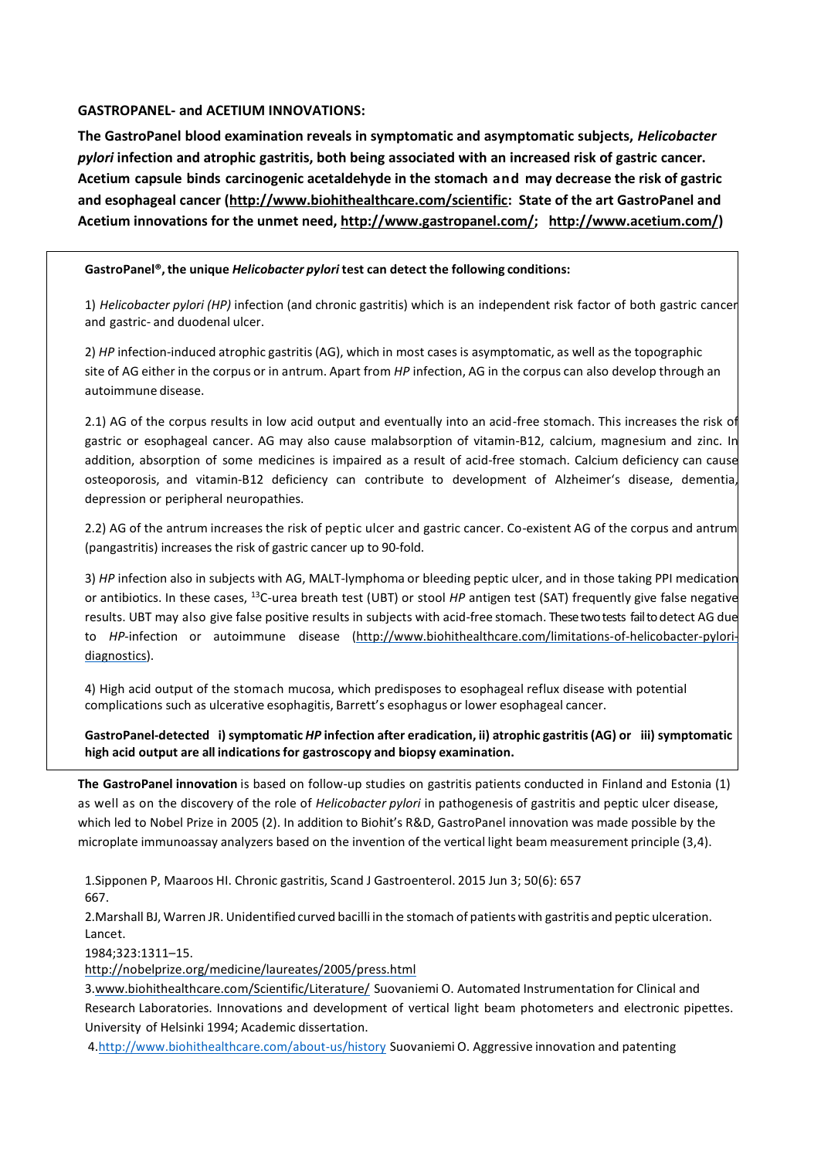#### **GASTROPANEL- and ACETIUM INNOVATIONS:**

**The GastroPanel blood examination reveals in symptomatic and asymptomatic subjects,** *Helicobacter pylori* **infection and atrophic gastritis, both being associated with an increased risk of gastric cancer. Acetium capsule binds carcinogenic acetaldehyde in the stomach and may decrease the risk of gastric and esophageal cancer [\(http://www.biohithealthcare.com/scientific:](http://www.biohithealthcare.com/scientific) State of the art GastroPanel and Acetium innovations for the unmet need, [http://www.gastropanel.com/;](http://www.gastropanel.com/) [http://www.acetium.com/\)](http://www.acetium.com/)**

#### **GastroPanel®,the unique** *Helicobacter pylori* **test can detect the following conditions:**

1) *Helicobacter pylori (HP)* infection (and chronic gastritis) which is an independent risk factor of both gastric cancer and gastric- and duodenal ulcer.

2) *HP* infection-induced atrophic gastritis (AG), which in most cases is asymptomatic, as well as the topographic site of AG either in the corpus or in antrum. Apart from *HP* infection, AG in the corpus can also develop through an autoimmune disease.

2.1) AG of the corpus results in low acid output and eventually into an acid-free stomach. This increases the risk of gastric or esophageal cancer. AG may also cause malabsorption of vitamin-B12, calcium, magnesium and zinc. In addition, absorption of some medicines is impaired as a result of acid-free stomach. Calcium deficiency can cause osteoporosis, and vitamin-B12 deficiency can contribute to development of Alzheimer's disease, dementia, depression or peripheral neuropathies.

2.2) AG of the antrum increases the risk of peptic ulcer and gastric cancer. Co-existent AG of the corpus and antrum (pangastritis) increases the risk of gastric cancer up to 90-fold.

3) *HP* infection also in subjects with AG, MALT-lymphoma or bleeding peptic ulcer, and in those taking PPI medication or antibiotics. In these cases, <sup>13</sup>C-urea breath test (UBT) or stool HP antigen test (SAT) frequently give false negative results. UBT may also give false positive results in subjects with acid-free stomach. These two tests fail to detect AG due to *HP*-infection or autoimmune disease [\(http://www.biohithealthcare.com/limitations-of-helicobacter-pylori](http://www.biohithealthcare.com/limitations-of-helicobacter-pylori-diagnostics)[diagnostics\)](http://www.biohithealthcare.com/limitations-of-helicobacter-pylori-diagnostics).

4) High acid output of the stomach mucosa, which predisposes to esophageal reflux disease with potential complications such as ulcerative esophagitis, Barrett's esophagus or lower esophageal cancer.

**GastroPanel-detected i) symptomatic** *HP* **infection after eradication, ii) atrophic gastritis(AG) or iii) symptomatic high acid output are all indicationsfor gastroscopy and biopsy examination.**

**The GastroPanel innovation** is based on follow-up studies on gastritis patients conducted in Finland and Estonia (1) as well as on the discovery of the role of *Helicobacter pylori* in pathogenesis of gastritis and peptic ulcer disease, which led to Nobel Prize in 2005 (2). In addition to Biohit's R&D, GastroPanel innovation was made possible by the microplate immunoassay analyzers based on the invention of the vertical light beam measurement principle (3,4).

1.Sipponen P, Maaroos HI. Chronic gastritis, Scand J Gastroenterol. 2015 Jun 3; 50(6): 657 667.

2.Marshall BJ, Warren JR. Unidentified curved bacilli in the stomach of patientswith gastritis and peptic ulceration. Lancet.

1984;323:1311–15.

<http://nobelprize.org/medicine/laureates/2005/press.html>

3[.www.biohithealthcare.com/Scientific/Literature/](http://www.biohithealthcare.com/Scientific/Literature/) Suovaniemi O. Automated Instrumentation for Clinical and Research Laboratories. Innovations and development of vertical light beam photometers and electronic pipettes. University of Helsinki 1994; Academic dissertation.

[4.http://www.biohithealthcare.com/about-us/history](http://www.biohithealthcare.com/about-us/history) Suovaniemi O. Aggressive innovation and patenting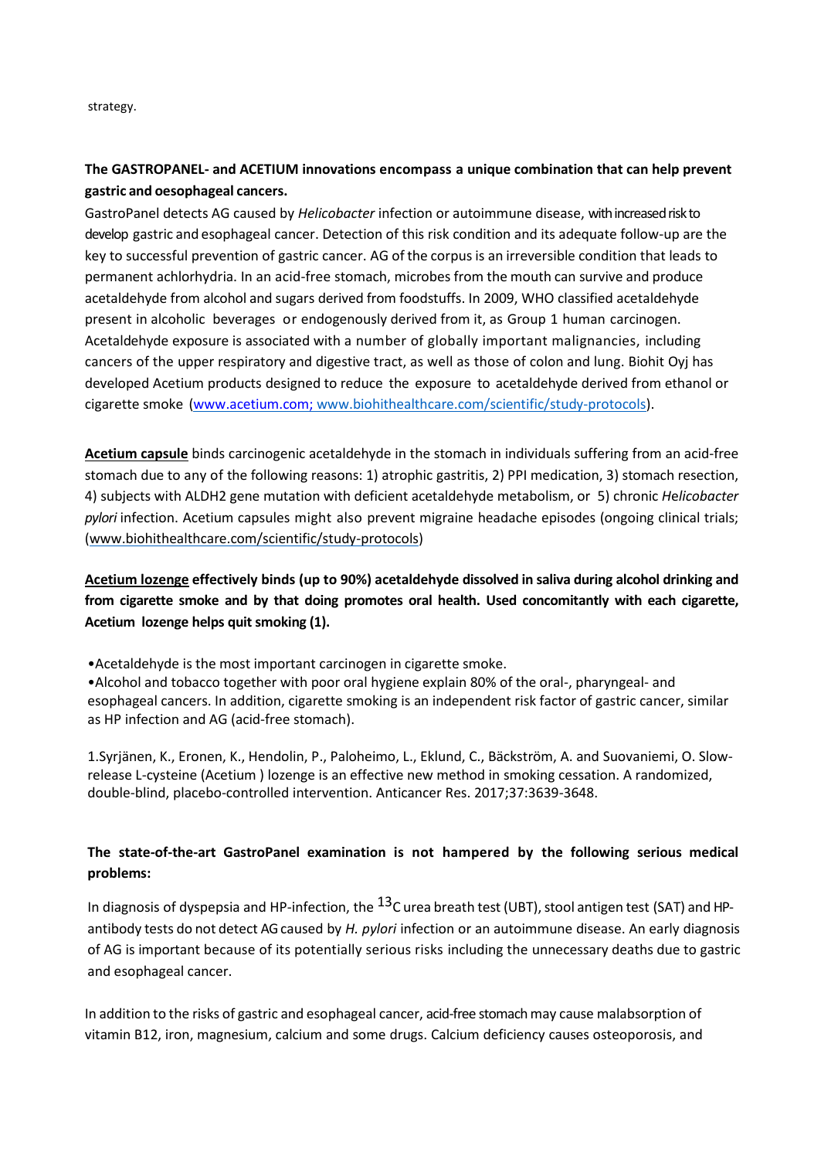strategy.

# **The GASTROPANEL- and ACETIUM innovations encompass a unique combination that can help prevent gastric and oesophageal cancers.**

GastroPanel detects AG caused by *Helicobacter* infection or autoimmune disease, with increased risk to develop gastric and esophageal cancer. Detection of this risk condition and its adequate follow-up are the key to successful prevention of gastric cancer. AG of the corpus is an irreversible condition that leads to permanent achlorhydria. In an acid-free stomach, microbes from the mouth can survive and produce acetaldehyde from alcohol and sugars derived from foodstuffs. In 2009, WHO classified acetaldehyde present in alcoholic beverages or endogenously derived from it, as Group 1 human carcinogen. Acetaldehyde exposure is associated with a number of globally important malignancies, including cancers of the upper respiratory and digestive tract, as well as those of colon and lung. Biohit Oyj has developed Acetium products designed to reduce the exposure to acetaldehyde derived from ethanol or cigarette smoke (www.acetium.com; [www.biohithealthcare.com/scientific/study-protocols\)](http://www.biohithealthcare.com/scientific/study-protocols).

**Acetium capsule** binds carcinogenic acetaldehyde in the stomach in individuals suffering from an acid-free stomach due to any of the following reasons: 1) atrophic gastritis, 2) PPI medication, 3) stomach resection, 4) subjects with ALDH2 gene mutation with deficient acetaldehyde metabolism, or 5) chronic *H*e*licobacter pylori* infection. Acetium capsules might also prevent migraine headache episodes (ongoing clinical trials; [\(www.biohithealthcare.com/scientific/study-protocols\)](http://www.biohithealthcare.com/scientific/study-protocols)

**Acetium lozenge effectively binds (up to 90%) acetaldehyde dissolved in saliva during alcohol drinking and from cigarette smoke and by that doing promotes oral health. Used concomitantly with each cigarette, Acetium lozenge helps quit smoking (1).** 

•Acetaldehyde is the most important carcinogen in cigarette smoke.

•Alcohol and tobacco together with poor oral hygiene explain 80% of the oral-, pharyngeal- and esophageal cancers. In addition, cigarette smoking is an independent risk factor of gastric cancer, similar as HP infection and AG (acid-free stomach).

1.Syrjänen, K., Eronen, K., Hendolin, P., Paloheimo, L., Eklund, C., Bäckström, A. and Suovaniemi, O. Slowrelease L-cysteine (Acetium ) lozenge is an effective new method in smoking cessation. A randomized, double-blind, placebo-controlled intervention. Anticancer Res. 2017;37:3639-3648.

# **The state-of-the-art GastroPanel examination is not hampered by the following serious medical problems:**

In diagnosis of dyspepsia and HP-infection, the  $^{13}$ C urea breath test (UBT), stool antigen test (SAT) and HPantibody tests do not detect AG caused by *H. pylori* infection or an autoimmune disease. An early diagnosis of AG is important because of its potentially serious risks including the unnecessary deaths due to gastric and esophageal cancer.

In addition to the risks of gastric and esophageal cancer, acid-free stomach may cause malabsorption of vitamin B12, iron, magnesium, calcium and some drugs. Calcium deficiency causes osteoporosis, and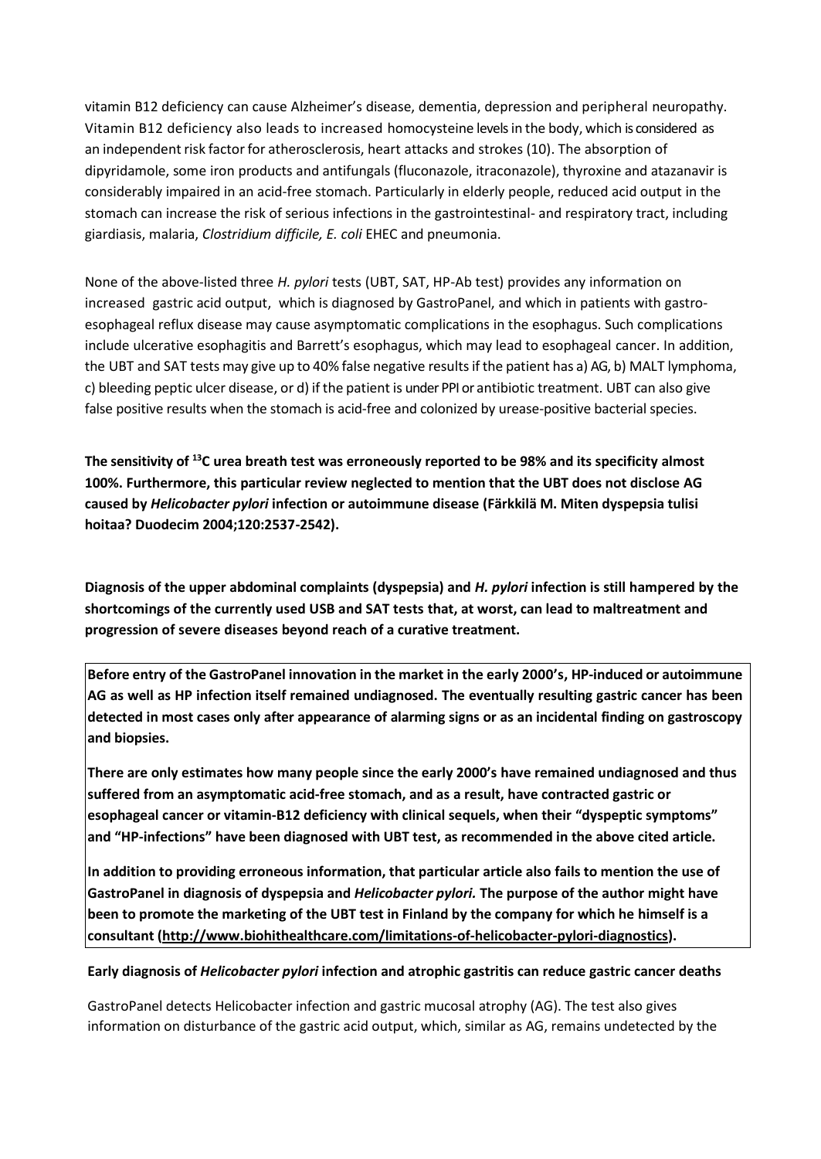vitamin B12 deficiency can cause Alzheimer's disease, dementia, depression and peripheral neuropathy. Vitamin B12 deficiency also leads to increased homocysteine levels in the body, which is considered as an independent risk factor for atherosclerosis, heart attacks and strokes (10). The absorption of dipyridamole, some iron products and antifungals (fluconazole, itraconazole), thyroxine and atazanavir is considerably impaired in an acid-free stomach. Particularly in elderly people, reduced acid output in the stomach can increase the risk of serious infections in the gastrointestinal- and respiratory tract, including giardiasis, malaria, *Clostridium difficile, E. coli* EHEC and pneumonia.

None of the above-listed three *H. pylori* tests (UBT, SAT, HP-Ab test) provides any information on increased gastric acid output, which is diagnosed by GastroPanel, and which in patients with gastroesophageal reflux disease may cause asymptomatic complications in the esophagus. Such complications include ulcerative esophagitis and Barrett's esophagus, which may lead to esophageal cancer. In addition, the UBT and SAT tests may give up to 40% false negative resultsif the patient has a) AG, b) MALT lymphoma, c) bleeding peptic ulcer disease, or d) if the patient is under PPI or antibiotic treatment. UBT can also give false positive results when the stomach is acid-free and colonized by urease-positive bacterial species.

**The sensitivity of <sup>13</sup>C urea breath test was erroneously reported to be 98% and its specificity almost 100%. Furthermore, this particular review neglected to mention that the UBT does not disclose AG caused by** *Helicobacter pylori* **infection or autoimmune disease (Färkkilä M. Miten dyspepsia tulisi hoitaa? Duodecim 2004;120:2537-2542).**

**Diagnosis of the upper abdominal complaints (dyspepsia) and** *H. pylori* **infection is still hampered by the shortcomings of the currently used USB and SAT tests that, at worst, can lead to maltreatment and progression of severe diseases beyond reach of a curative treatment.**

**Before entry of the GastroPanel innovation in the market in the early 2000's, HP-induced or autoimmune AG as well as HP infection itself remained undiagnosed. The eventually resulting gastric cancer has been detected in most cases only after appearance of alarming signs or as an incidental finding on gastroscopy and biopsies.**

**There are only estimates how many people since the early 2000's have remained undiagnosed and thus suffered from an asymptomatic acid-free stomach, and as a result, have contracted gastric or esophageal cancer or vitamin-B12 deficiency with clinical sequels, when their "dyspeptic symptoms" and "HP-infections" have been diagnosed with UBT test, as recommended in the above cited article.** 

**In addition to providing erroneous information, that particular article also fails to mention the use of GastroPanel in diagnosis of dyspepsia and** *Helicobacter pylori.* **The purpose of the author might have been to promote the marketing of the UBT test in Finland by the company for which he himself is a consultant [\(http://www.biohithealthcare.com/limitations-of-helicobacter-pylori-diagnostics\)](http://www.biohithealthcare.com/limitations-of-helicobacter-pylori-diagnostics).**

## **Early diagnosis of** *Helicobacter pylori* **infection and atrophic gastritis can reduce gastric cancer deaths**

GastroPanel detects Helicobacter infection and gastric mucosal atrophy (AG). The test also gives information on disturbance of the gastric acid output, which, similar as AG, remains undetected by the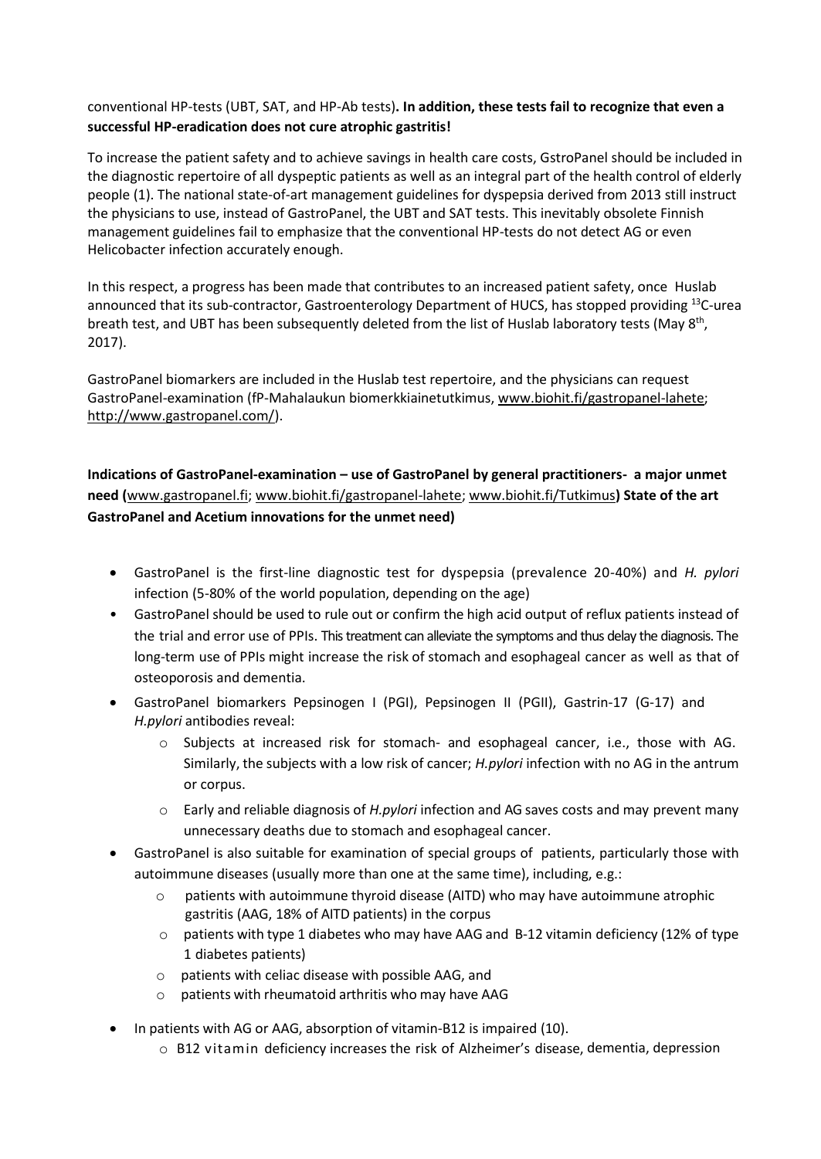## conventional HP-tests (UBT, SAT, and HP-Ab tests)**. In addition, these tests fail to recognize that even a successful HP-eradication does not cure atrophic gastritis!**

To increase the patient safety and to achieve savings in health care costs, GstroPanel should be included in the diagnostic repertoire of all dyspeptic patients as well as an integral part of the health control of elderly people (1). The national state-of-art management guidelines for dyspepsia derived from 2013 still instruct the physicians to use, instead of GastroPanel, the UBT and SAT tests. This inevitably obsolete Finnish management guidelines fail to emphasize that the conventional HP-tests do not detect AG or even Helicobacter infection accurately enough.

In this respect, a progress has been made that contributes to an increased patient safety, once Huslab announced that its sub-contractor, Gastroenterology Department of HUCS, has stopped providing <sup>13</sup>C-urea breath test, and UBT has been subsequently deleted from the list of Huslab laboratory tests (May 8<sup>th</sup>, 2017).

GastroPanel biomarkers are included in the Huslab test repertoire, and the physicians can request GastroPanel-examination (fP-Mahalaukun biomerkkiainetutkimus, [www.biohit.fi/gastropanel-lahete;](http://www.biohit.fi/gastropanel-lahete) [http://www.gastropanel.com/\)](http://www.gastropanel.com/).

**Indications of GastroPanel-examination – use of GastroPanel by general practitioners- a major unmet need (**[www.gastropanel.fi;](http://www.gastropanel.fi/) [www.biohit.fi/gastropanel-lahete;](http://www.biohit.fi/gastropanel-lahete) [www.biohit.fi/Tutkimus](http://www.biohit.fi/Tutkimus)**) State of the art GastroPanel and Acetium innovations for the unmet need)** 

- GastroPanel is the first-line diagnostic test for dyspepsia (prevalence 20-40%) and *H. pylori* infection (5-80% of the world population, depending on the age)
- GastroPanel should be used to rule out or confirm the high acid output of reflux patients instead of the trial and error use of PPIs. This treatment can alleviate the symptoms and thus delay the diagnosis. The long-term use of PPIs might increase the risk of stomach and esophageal cancer as well as that of osteoporosis and dementia.
- GastroPanel biomarkers Pepsinogen I (PGI), Pepsinogen II (PGII), Gastrin-17 (G-17) and *H.pylori* antibodies reveal:
	- o Subjects at increased risk for stomach- and esophageal cancer, i.e., those with AG. Similarly, the subjects with a low risk of cancer; *H.pylori* infection with no AG in the antrum or corpus.
	- o Early and reliable diagnosis of *H.pylori* infection and AG saves costs and may prevent many unnecessary deaths due to stomach and esophageal cancer.
- GastroPanel is also suitable for examination of special groups of patients, particularly those with autoimmune diseases (usually more than one at the same time), including, e.g.:
	- $\circ$  patients with autoimmune thyroid disease (AITD) who may have autoimmune atrophic gastritis (AAG, 18% of AITD patients) in the corpus
	- $\circ$  patients with type 1 diabetes who may have AAG and B-12 vitamin deficiency (12% of type 1 diabetes patients)
	- o patients with celiac disease with possible AAG, and
	- o patients with rheumatoid arthritis who may have AAG
- In patients with AG or AAG, absorption of vitamin-B12 is impaired (10).
	- o B12 vitamin deficiency increases the risk of Alzheimer's disease, dementia, depression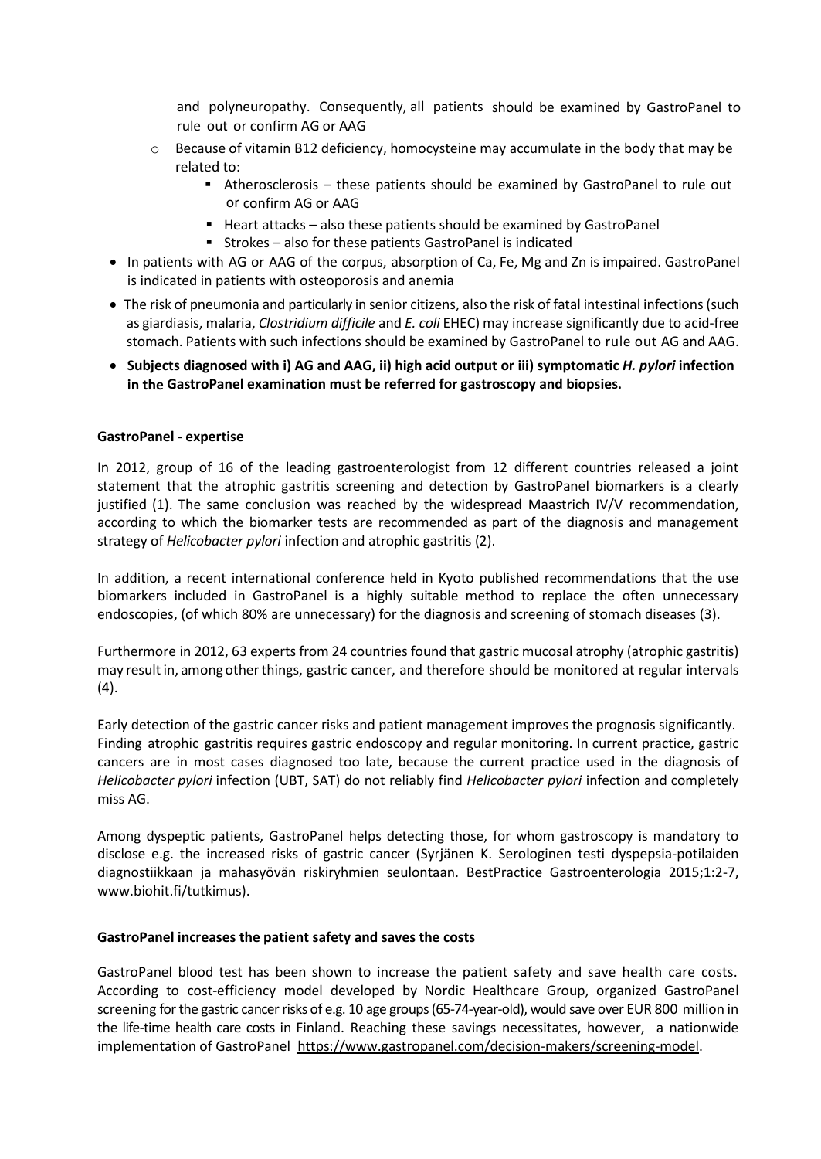and polyneuropathy. Consequently, all patients should be examined by GastroPanel to rule out or confirm AG or AAG

- $\circ$  Because of vitamin B12 deficiency, homocysteine may accumulate in the body that may be related to:
	- Atherosclerosis these patients should be examined by GastroPanel to rule out or confirm AG or AAG
	- $\blacksquare$  Heart attacks also these patients should be examined by GastroPanel
	- Strokes also for these patients GastroPanel is indicated
- In patients with AG or AAG of the corpus, absorption of Ca, Fe, Mg and Zn is impaired. GastroPanel is indicated in patients with osteoporosis and anemia
- The risk of pneumonia and particularly in senior citizens, also the risk of fatal intestinal infections(such as giardiasis, malaria, *Clostridium difficile* and *E. coli* EHEC) may increase significantly due to acid-free stomach. Patients with such infections should be examined by GastroPanel to rule out AG and AAG.
- **Subjects diagnosed with i) AG and AAG, ii) high acid output or iii) symptomatic** *H. pylori* **infection in the GastroPanel examination must be referred for gastroscopy and biopsies.**

## **GastroPanel - expertise**

In 2012, group of 16 of the leading gastroenterologist from 12 different countries released a joint statement that the atrophic gastritis screening and detection by GastroPanel biomarkers is a clearly justified (1). The same conclusion was reached by the widespread Maastrich IV/V recommendation, according to which the biomarker tests are recommended as part of the diagnosis and management strategy of *Helicobacter pylori* infection and atrophic gastritis (2).

In addition, a recent international conference held in Kyoto published recommendations that the use biomarkers included in GastroPanel is a highly suitable method to replace the often unnecessary endoscopies, (of which 80% are unnecessary) for the diagnosis and screening of stomach diseases (3).

Furthermore in 2012, 63 experts from 24 countries found that gastric mucosal atrophy (atrophic gastritis) may resultin, among other things, gastric cancer, and therefore should be monitored at regular intervals (4).

Early detection of the gastric cancer risks and patient management improves the prognosis significantly. Finding atrophic gastritis requires gastric endoscopy and regular monitoring. In current practice, gastric cancers are in most cases diagnosed too late, because the current practice used in the diagnosis of *Helicobacter pylori* infection (UBT, SAT) do not reliably find *Helicobacter pylori* infection and completely miss AG.

Among dyspeptic patients, GastroPanel helps detecting those, for whom gastroscopy is mandatory to disclose e.g. the increased risks of gastric cancer (Syrjänen K. Serologinen testi dyspepsia-potilaiden diagnostiikkaan ja mahasyövän riskiryhmien seulontaan. BestPractice Gastroenterologia 2015;1:2-7, www.biohit.fi/tutkimus).

## **GastroPanel increases the patient safety and saves the costs**

GastroPanel blood test has been shown to increase the patient safety and save health care costs. According to cost-efficiency model developed by Nordic Healthcare Group, organized GastroPanel screening for the gastric cancer risks of e.g. 10 age groups (65-74-year-old), would save over EUR 800 million in the life-time health care costs in Finland. Reaching these savings necessitates, however, a nationwide implementation of GastroPanel [https://www.gastropanel.com/decision-makers/screening-model.](https://www.gastropanel.com/decision-makers/screening-model)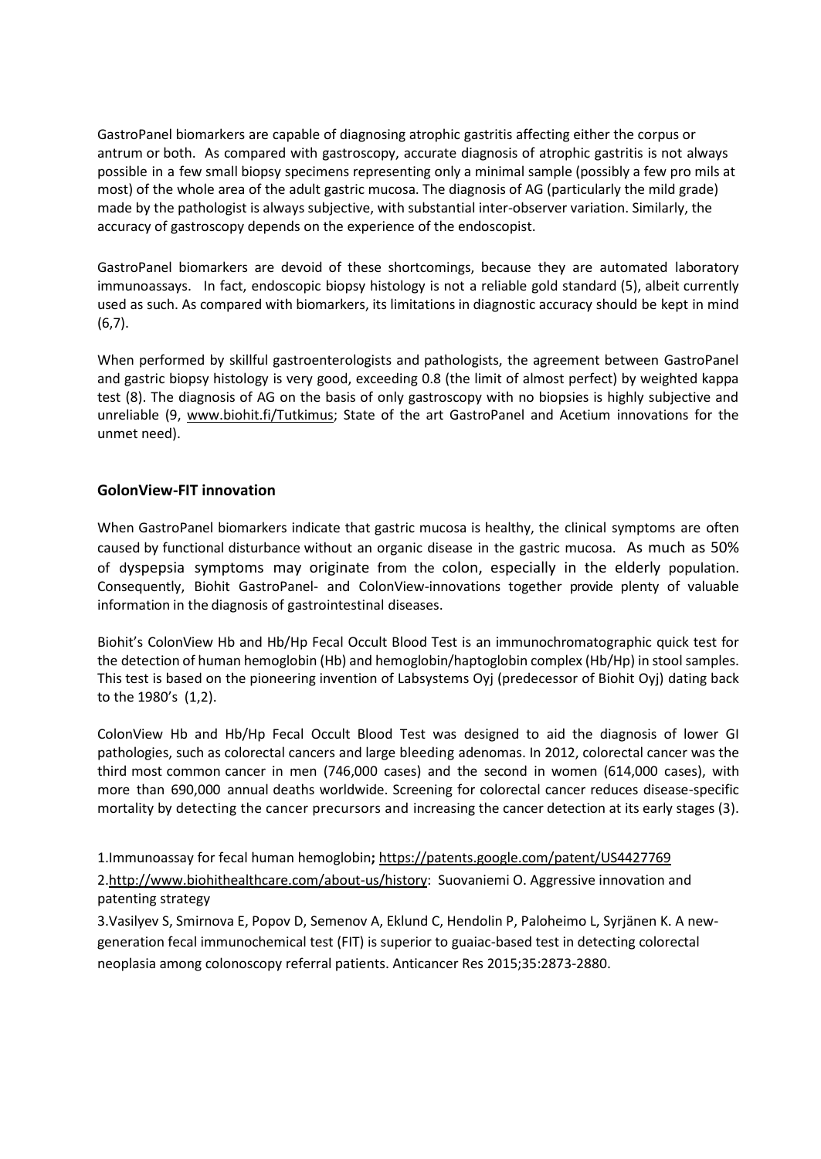GastroPanel biomarkers are capable of diagnosing atrophic gastritis affecting either the corpus or antrum or both. As compared with gastroscopy, accurate diagnosis of atrophic gastritis is not always possible in a few small biopsy specimens representing only a minimal sample (possibly a few pro mils at most) of the whole area of the adult gastric mucosa. The diagnosis of AG (particularly the mild grade) made by the pathologist is always subjective, with substantial inter-observer variation. Similarly, the accuracy of gastroscopy depends on the experience of the endoscopist.

GastroPanel biomarkers are devoid of these shortcomings, because they are automated laboratory immunoassays. In fact, endoscopic biopsy histology is not a reliable gold standard (5), albeit currently used as such. As compared with biomarkers, its limitations in diagnostic accuracy should be kept in mind  $(6,7)$ .

When performed by skillful gastroenterologists and pathologists, the agreement between GastroPanel and gastric biopsy histology is very good, exceeding 0.8 (the limit of almost perfect) by weighted kappa test (8). The diagnosis of AG on the basis of only gastroscopy with no biopsies is highly subjective and unreliable (9, [www.biohit.fi/Tutkimus;](http://www.biohit.fi/Tutkimus) State of the art GastroPanel and Acetium innovations for the unmet need).

## **GolonView-FIT innovation**

When GastroPanel biomarkers indicate that gastric mucosa is healthy, the clinical symptoms are often caused by functional disturbance without an organic disease in the gastric mucosa. As much as 50% of dyspepsia symptoms may originate from the colon, especially in the elderly population. Consequently, Biohit GastroPanel- and ColonView-innovations together provide plenty of valuable information in the diagnosis of gastrointestinal diseases.

Biohit's ColonView Hb and Hb/Hp Fecal Occult Blood Test is an immunochromatographic quick test for the detection of human hemoglobin (Hb) and hemoglobin/haptoglobin complex (Hb/Hp) in stoolsamples. This test is based on the pioneering invention of Labsystems Oyj (predecessor of Biohit Oyj) dating back to the 1980's (1,2).

ColonView Hb and Hb/Hp Fecal Occult Blood Test was designed to aid the diagnosis of lower GI pathologies, such as colorectal cancers and large bleeding adenomas. In 2012, colorectal cancer was the third most common cancer in men (746,000 cases) and the second in women (614,000 cases), with more than 690,000 annual deaths worldwide. Screening for colorectal cancer reduces disease-specific mortality by detecting the cancer precursors and increasing the cancer detection at its early stages (3).

1.Immunoassay for fecal human hemoglobin**;** <https://patents.google.com/patent/US4427769>

2[.http://www.biohithealthcare.com/about-us/history:](http://www.biohithealthcare.com/about-us/history) Suovaniemi O. Aggressive innovation and patenting strategy

3.Vasilyev S, Smirnova E, Popov D, Semenov A, Eklund C, Hendolin P, Paloheimo L, Syrjänen K. A newgeneration fecal immunochemical test (FIT) is superior to guaiac-based test in detecting colorectal neoplasia among colonoscopy referral patients. Anticancer Res 2015;35:2873-2880.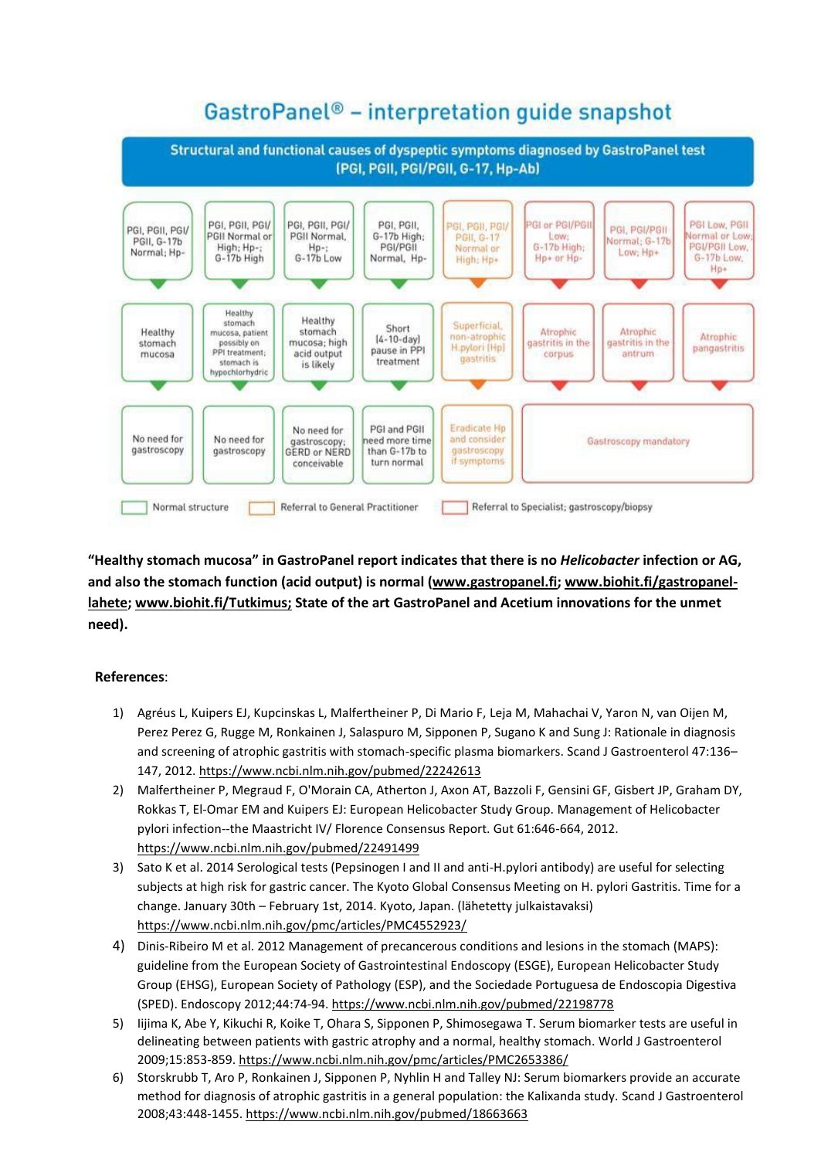# GastroPanel<sup>®</sup> - interpretation quide snapshot



**"Healthy stomach mucosa" in GastroPanel report indicates that there is no** *Helicobacter* **infection or AG, and also the stomach function (acid output) is normal [\(www.gastropanel.fi;](http://www.gastropanel.fi/) [www.biohit.fi/gastropanel](http://www.biohit.fi/gastropanel-lahete)[lahete;](http://www.biohit.fi/gastropanel-lahete) [www.biohit.fi/Tutkimus;](http://www.biohit.fi/Tutkimus) State of the art GastroPanel and Acetium innovations for the unmet need).** 

## **References**:

- 1) Agréus L, Kuipers EJ, Kupcinskas L, Malfertheiner P, Di Mario F, Leja M, Mahachai V, Yaron N, van Oijen M, Perez Perez G, Rugge M, Ronkainen J, Salaspuro M, Sipponen P, Sugano K and Sung J: Rationale in diagnosis and screening of atrophic gastritis with stomach-specific plasma biomarkers. Scand J Gastroenterol 47:136– 147, 2012.<https://www.ncbi.nlm.nih.gov/pubmed/22242613>
- 2) Malfertheiner P, Megraud F, O'Morain CA, Atherton J, Axon AT, Bazzoli F, Gensini GF, Gisbert JP, Graham DY, Rokkas T, El-Omar EM and Kuipers EJ: European Helicobacter Study Group. Management of Helicobacter pylori infection--the Maastricht IV/ Florence Consensus Report. Gut 61:646-664, 2012. <https://www.ncbi.nlm.nih.gov/pubmed/22491499>
- 3) Sato K et al. 2014 Serological tests (Pepsinogen I and II and anti-H.pylori antibody) are useful for selecting subjects at high risk for gastric cancer. The Kyoto Global Consensus Meeting on H. pylori Gastritis. Time for a change. January 30th – February 1st, 2014. Kyoto, Japan. (lähetetty julkaistavaksi) <https://www.ncbi.nlm.nih.gov/pmc/articles/PMC4552923/>
- 4) Dinis-Ribeiro M et al. 2012 Management of precancerous conditions and lesions in the stomach (MAPS): guideline from the European Society of Gastrointestinal Endoscopy (ESGE), European Helicobacter Study Group (EHSG), European Society of Pathology (ESP), and the Sociedade Portuguesa de Endoscopia Digestiva (SPED). Endoscopy 2012;44:74-94[. https://www.ncbi.nlm.nih.gov/pubmed/22198778](https://www.ncbi.nlm.nih.gov/pubmed/22198778)
- 5) Iijima K, Abe Y, Kikuchi R, Koike T, Ohara S, Sipponen P, Shimosegawa T. Serum biomarker tests are useful in delineating between patients with gastric atrophy and a normal, healthy stomach. World J Gastroenterol 2009;15:853-859.<https://www.ncbi.nlm.nih.gov/pmc/articles/PMC2653386/>
- 6) Storskrubb T, Aro P, Ronkainen J, Sipponen P, Nyhlin H and Talley NJ: Serum biomarkers provide an accurate method for diagnosis of atrophic gastritis in a general population: the Kalixanda study. Scand J Gastroenterol 2008;43:448-1455.<https://www.ncbi.nlm.nih.gov/pubmed/18663663>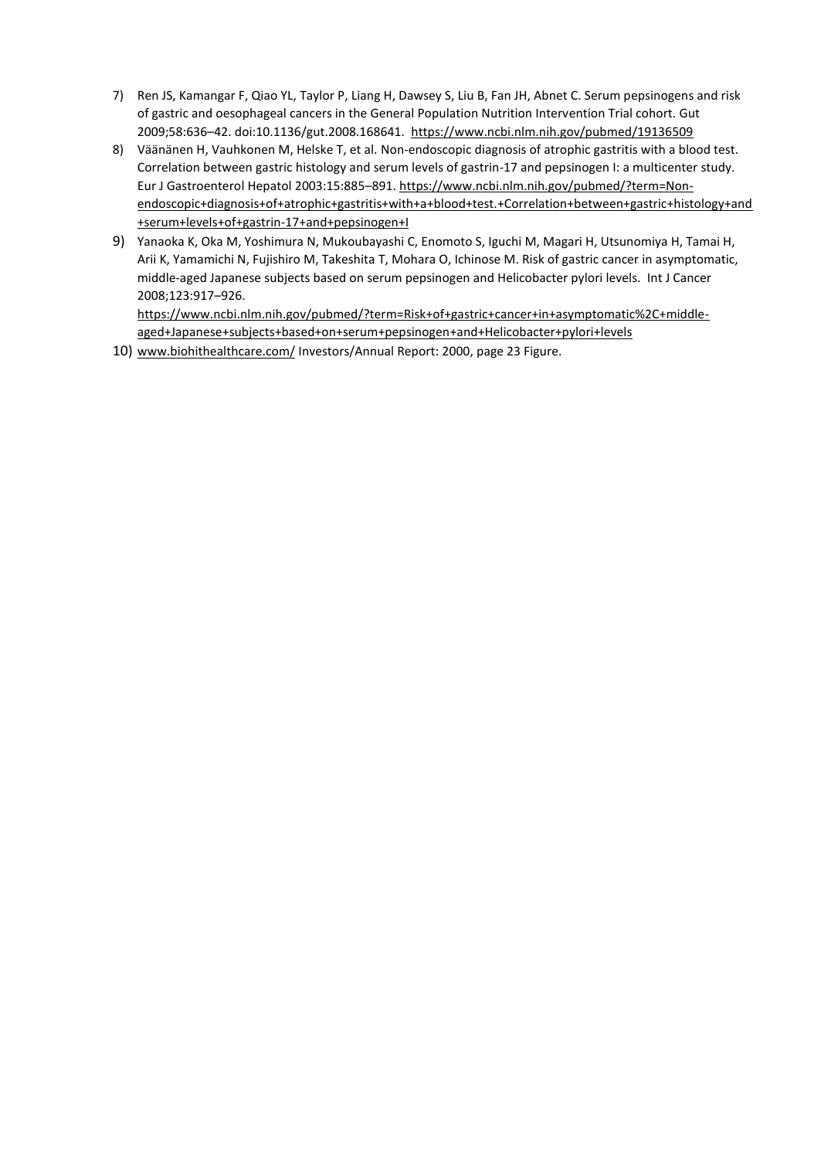- 7) Ren JS, Kamangar F, Qiao YL, Taylor P, Liang H, Dawsey S, Liu B, Fan JH, Abnet C. Serum pepsinogens and risk of gastric and oesophageal cancers in the General Population Nutrition Intervention Trial cohort. Gut 2009;58:636–42. doi:10.1136/gut.2008.168641. <https://www.ncbi.nlm.nih.gov/pubmed/19136509>
- 8) Väänänen H, Vauhkonen M, Helske T, et al. Non-endoscopic diagnosis of atrophic gastritis with a blood test. Correlation between gastric histology and serum levels of gastrin-17 and pepsinogen I: a multicenter study. Eur J Gastroenterol Hepatol 2003:15:885–891[. https://www.ncbi.nlm.nih.gov/pubmed/?term=Non](https://www.ncbi.nlm.nih.gov/pubmed/?term=Non-endoscopic+diagnosis+of+atrophic+gastritis+with+a+blood+test.+Correlation+between+gastric+histology+and+serum+levels+of+gastrin-17+and+pepsinogen+I)[endoscopic+diagnosis+of+atrophic+gastritis+with+a+blood+test.+Correlation+between+gastric+histology+and](https://www.ncbi.nlm.nih.gov/pubmed/?term=Non-endoscopic+diagnosis+of+atrophic+gastritis+with+a+blood+test.+Correlation+between+gastric+histology+and+serum+levels+of+gastrin-17+and+pepsinogen+I) [+serum+levels+of+gastrin-17+and+pepsinogen+I](https://www.ncbi.nlm.nih.gov/pubmed/?term=Non-endoscopic+diagnosis+of+atrophic+gastritis+with+a+blood+test.+Correlation+between+gastric+histology+and+serum+levels+of+gastrin-17+and+pepsinogen+I)
- 9) Yanaoka K, Oka M, Yoshimura N, Mukoubayashi C, Enomoto S, Iguchi M, Magari H, Utsunomiya H, Tamai H, Arii K, Yamamichi N, Fujishiro M, Takeshita T, Mohara O, Ichinose M. Risk of gastric cancer in asymptomatic, middle-aged Japanese subjects based on serum pepsinogen and Helicobacter pylori levels. Int J Cancer 2008;123:917–926.

[https://www.ncbi.nlm.nih.gov/pubmed/?term=Risk+of+gastric+cancer+in+asymptomatic%2C+middle](https://www.ncbi.nlm.nih.gov/pubmed/?term=Risk+of+gastric+cancer+in+asymptomatic%2C+middle-aged+Japanese+subjects+based+on+serum+pepsinogen+and+Helicobacter+pylori+levels)[aged+Japanese+subjects+based+on+serum+pepsinogen+and+Helicobacter+pylori+levels](https://www.ncbi.nlm.nih.gov/pubmed/?term=Risk+of+gastric+cancer+in+asymptomatic%2C+middle-aged+Japanese+subjects+based+on+serum+pepsinogen+and+Helicobacter+pylori+levels)

10) [www.biohithealthcare.com/](http://www.biohithealthcare.com/) Investors/Annual Report: 2000, page 23 Figure.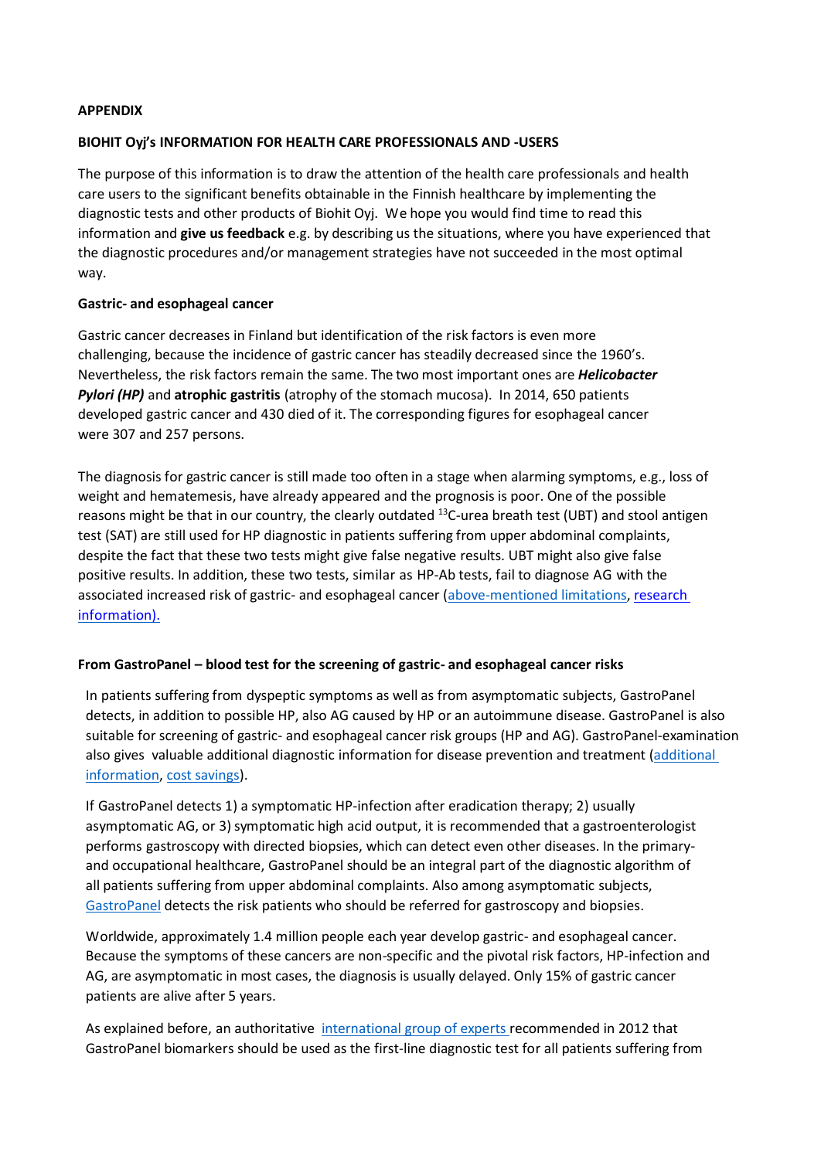## **APPENDIX**

## **BIOHIT Oyj's INFORMATION FOR HEALTH CARE PROFESSIONALS AND -USERS**

The purpose of this information is to draw the attention of the health care professionals and health care users to the significant benefits obtainable in the Finnish healthcare by implementing the diagnostic tests and other products of Biohit Oyj. We hope you would find time to read this information and **give us feedback** e.g. by describing us the situations, where you have experienced that the diagnostic procedures and/or management strategies have not succeeded in the most optimal way.

#### **Gastric- and esophageal cancer**

Gastric cancer decreases in Finland but identification of the risk factors is even more challenging, because the incidence of gastric cancer has steadily decreased since the 1960's. Nevertheless, the risk factors remain the same. The two most important ones are *Helicobacter Pylori (HP)* and **atrophic gastritis** (atrophy of the stomach mucosa). In 2014, 650 patients developed gastric cancer and 430 died of it. The corresponding figures for esophageal cancer were 307 and 257 persons.

The diagnosis for gastric cancer is still made too often in a stage when alarming symptoms, e.g., loss of weight and hematemesis, have already appeared and the prognosis is poor. One of the possible reasons might be that in our country, the clearly outdated <sup>13</sup>C-urea breath test (UBT) and stool antigen test (SAT) are still used for HP diagnostic in patients suffering from upper abdominal complaints, despite the fact that these two tests might give false negative results. UBT might also give false positive results. In addition, these two tests, similar as HP-Ab tests, fail to diagnose AG with the associated increased risk of gastric- and esophageal cancer [\(above-mentioned limitations,](http://www.biohithealthcare.com/resource/files/other/limitations-of-helicobacter-pylori-diagnostics.pdf) [research](http://ar.iiarjournals.org/content/36/10/5133.full.pdf%2Bhtml)  [information\).](http://ar.iiarjournals.org/content/36/10/5133.full.pdf%2Bhtml)

## **From GastroPanel – blood test for the screening of gastric- and esophageal cancer risks**

In patients suffering from dyspeptic symptoms as well as from asymptomatic subjects, GastroPanel detects, in addition to possible HP, also AG caused by HP or an autoimmune disease. GastroPanel is also suitable for screening of gastric- and esophageal cancer risk groups (HP and AG). GastroPanel-examination also gives valuable additional diagnostic information for disease prevention and treatment (additional [information,](http://www.biohithealthcare.com/resource/files/other/additional-information.pdf) cost [savings\)](https://www.gastropanel.com/decision-makers/screening-model).

If GastroPanel detects 1) a symptomatic HP-infection after eradication therapy; 2) usually asymptomatic AG, or 3) symptomatic high acid output, it is recommended that a gastroenterologist performs gastroscopy with directed biopsies, which can detect even other diseases. In the primaryand occupational healthcare, GastroPanel should be an integral part of the diagnostic algorithm of all patients suffering from upper abdominal complaints. Also among asymptomatic subjects, [GastroPanel](http://www.biohithealthcare.com/resource/files/media/other/gastropanel-2016.pdf) detects the risk patients who should be referred for gastroscopy and biopsies.

Worldwide, approximately 1.4 million people each year develop gastric- and esophageal cancer. Because the symptoms of these cancers are non-specific and the pivotal risk factors, HP-infection and AG, are asymptomatic in most cases, the diagnosis is usually delayed. Only 15% of gastric cancer patients are alive after 5 years.

As explained before, an authoritative [international group](https://www.ncbi.nlm.nih.gov/pmc/articles/PMC3279132/) of [experts r](https://www.ncbi.nlm.nih.gov/pmc/articles/PMC3279132/)ecommended in 2012 that GastroPanel biomarkers should be used as the first-line diagnostic test for all patients suffering from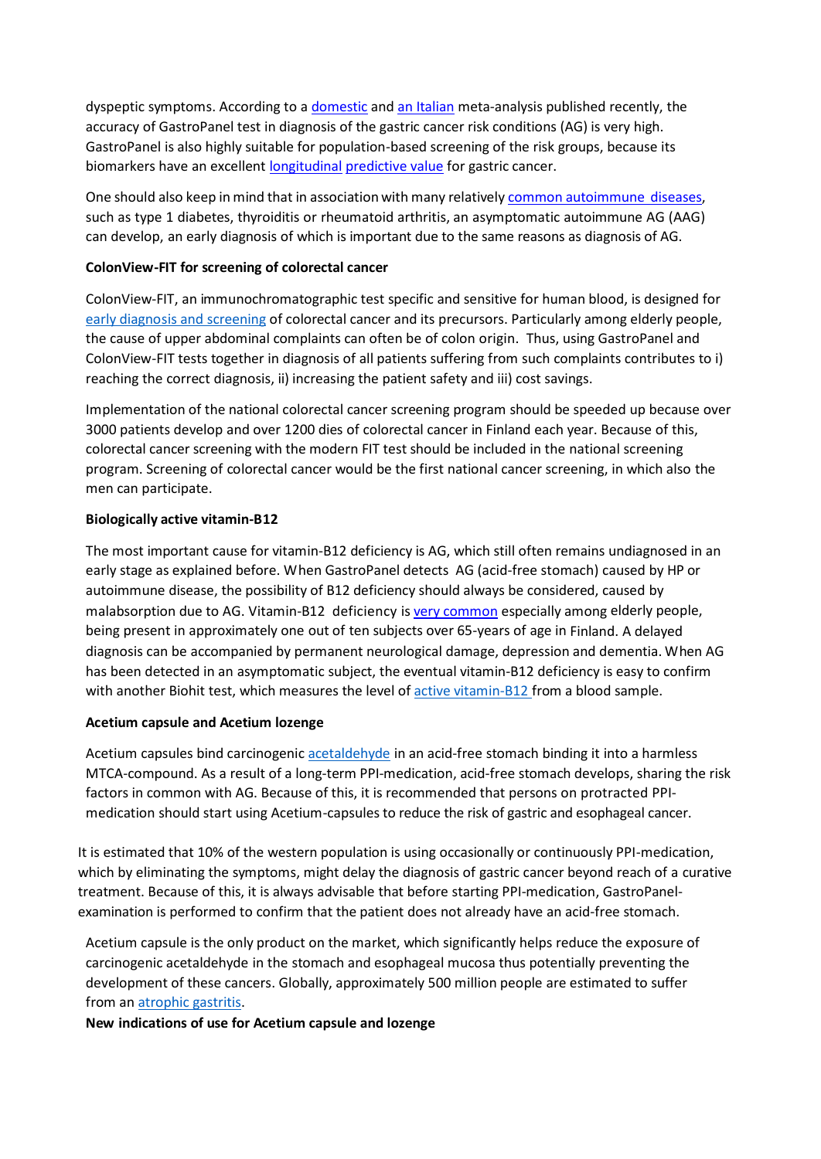dyspeptic symptoms. According to a [domestic](http://ar.iiarjournals.org/content/36/10/5133.full.pdf%2Bhtml) an[d an Italian](http://onlinelibrary.wiley.com/doi/10.1111/apt.14248/abstract) meta-analysis published recently, the accuracy of GastroPanel test in diagnosis of the gastric cancer risk conditions (AG) is very high. GastroPanel is also highly suitable for population-based screening of the risk groups, because its biomarkers have an excellent [longitudinal](https://www.ncbi.nlm.nih.gov/pubmed/28323271) [predictive](https://www.ncbi.nlm.nih.gov/pubmed/28323271) value for gastric cancer.

One should also keep in mind that in association with many relatively [common autoimmune](http://www.biohithealthcare.com/download.php?id=314&amp%3Blang=fi) [diseases,](http://www.biohithealthcare.com/download.php?id=314&amp%3Blang=fi) such as type 1 diabetes, thyroiditis or rheumatoid arthritis, an asymptomatic autoimmune AG (AAG) can develop, an early diagnosis of which is important due to the same reasons as diagnosis of AG.

## **ColonView-FIT for screening of colorectal cancer**

ColonView-FIT, an immunochromatographic test specific and sensitive for human blood, is designed for early diagnosis and [screening](http://ar.iiarjournals.org/content/35/5/2873.full.pdf%2Bhtml) of colorectal cancer and its precursors. Particularly among elderly people, the cause of upper abdominal complaints can often be of colon origin. Thus, using GastroPanel and ColonView-FIT tests together in diagnosis of all patients suffering from such complaints contributes to i) reaching the correct diagnosis, ii) increasing the patient safety and iii) cost savings.

Implementation of the national colorectal cancer screening program should be speeded up because over 3000 patients develop and over 1200 dies of colorectal cancer in Finland each year. Because of this, colorectal cancer screening with the modern FIT test should be included in the national screening program. Screening of colorectal cancer would be the first national cancer screening, in which also the men can participate.

## **Biologically active vitamin-B12**

The most important cause for vitamin-B12 deficiency is AG, which still often remains undiagnosed in an early stage as explained before. When GastroPanel detects AG (acid-free stomach) caused by HP or autoimmune disease, the possibility of B12 deficiency should always be considered, caused by malabsorption due to AG. Vitamin-B12 deficiency is very [common](http://www.jarcp.com/3140-atrophic-gastritis-ag-and-its-clinical-sequels-among-elderly-people-in-finland-and-estonia-a-comparative-study-using-gastropanel-and-b12-vitamin-testing-of-the-residents-in-assisted-housing-facili.html) especially among elderly people, being present in approximately one out of ten subjects over 65-years of age in Finland. A delayed diagnosis can be accompanied by permanent neurological damage, depression and dementia. When AG has been detected in an asymptomatic subject, the eventual vitamin-B12 deficiency is easy to confirm with another Biohit test, which measures the level o[f active vitamin-B12](http://www.biohithealthcare.com/resource/files/media/other/atrofinen-gastritti-b12-vitamiini.pdf) from a blood sample.

## **Acetium capsule and Acetium lozenge**

Acetium capsules bind carcinogeni[c acetaldehyde](http://www.tandfonline.com/doi/full/10.1080/00365521.2016.1249403) in an acid-free stomach binding it into a harmless MTCA-compound. As a result of a long-term PPI-medication, acid-free stomach develops, sharing the risk factors in common with AG. Because of this, it is recommended that persons on protracted PPImedication should start using Acetium-capsules to reduce the risk of gastric and esophageal cancer.

It is estimated that 10% of the western population is using occasionally or continuously PPI-medication, which by eliminating the symptoms, might delay the diagnosis of gastric cancer beyond reach of a curative treatment. Because of this, it is always advisable that before starting PPI-medication, GastroPanelexamination is performed to confirm that the patient does not already have an acid-free stomach.

Acetium capsule is the only product on the market, which significantly helps reduce the exposure of carcinogenic acetaldehyde in the stomach and esophageal mucosa thus potentially preventing the development of these cancers. Globally, approximately 500 million people are estimated to suffer from an [atrophic gastritis.](http://cebp.aacrjournals.org/content/15/6/1083.long)

**New indications of use for Acetium capsule and lozenge**